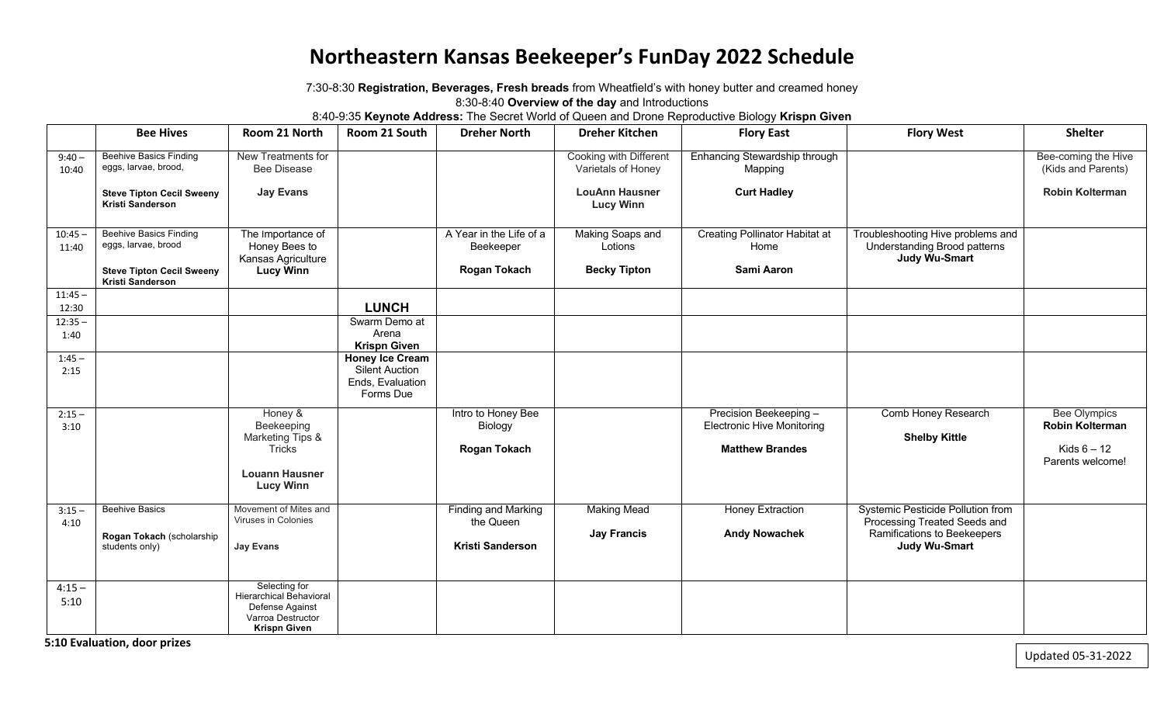## **Northeastern Kansas Beekeeper's FunDay 2022 Schedule**

7:30-8:30 **Registration, Beverages, Fresh breads** from Wheatfield's with honey butter and creamed honey 8:30-8:40 **Overview of the day** and Introductions

8:40-9:35 **Keynote Address:** The Secret World of Queen and Drone Reproductive Biology **Krispn Given**

|                    | <b>Bee Hives</b>                                            | Room 21 North                                            | Room 21 South                                          | <b>Dreher North</b>                     | <b>Dreher Kitchen</b>                        | <b>Flory East</b>                             | <b>Flory West</b>                                                                         | <b>Shelter</b>                                |
|--------------------|-------------------------------------------------------------|----------------------------------------------------------|--------------------------------------------------------|-----------------------------------------|----------------------------------------------|-----------------------------------------------|-------------------------------------------------------------------------------------------|-----------------------------------------------|
| $9:40 -$<br>10:40  | <b>Beehive Basics Finding</b><br>eggs, larvae, brood,       | New Treatments for<br><b>Bee Disease</b>                 |                                                        |                                         | Cooking with Different<br>Varietals of Honey | Enhancing Stewardship through<br>Mapping      |                                                                                           | Bee-coming the Hive<br>(Kids and Parents)     |
|                    | <b>Steve Tipton Cecil Sweeny</b><br><b>Kristi Sanderson</b> | <b>Jay Evans</b>                                         |                                                        |                                         | <b>LouAnn Hausner</b><br><b>Lucy Winn</b>    | <b>Curt Hadley</b>                            |                                                                                           | <b>Robin Kolterman</b>                        |
| $10:45 -$<br>11:40 | <b>Beehive Basics Finding</b><br>eggs, larvae, brood        | The Importance of<br>Honey Bees to<br>Kansas Agriculture |                                                        | A Year in the Life of a<br>Beekeeper    | Making Soaps and<br>Lotions                  | <b>Creating Pollinator Habitat at</b><br>Home | Troubleshooting Hive problems and<br><b>Understanding Brood patterns</b><br>Judy Wu-Smart |                                               |
|                    | <b>Steve Tipton Cecil Sweeny</b><br><b>Kristi Sanderson</b> | <b>Lucy Winn</b>                                         |                                                        | <b>Rogan Tokach</b>                     | <b>Becky Tipton</b>                          | Sami Aaron                                    |                                                                                           |                                               |
| $11:45 -$<br>12:30 |                                                             |                                                          | <b>LUNCH</b>                                           |                                         |                                              |                                               |                                                                                           |                                               |
| $12:35 -$          |                                                             |                                                          | Swarm Demo at                                          |                                         |                                              |                                               |                                                                                           |                                               |
| 1:40               |                                                             |                                                          | Arena<br><b>Krispn Given</b>                           |                                         |                                              |                                               |                                                                                           |                                               |
| $1:45 -$           |                                                             |                                                          | <b>Honey Ice Cream</b>                                 |                                         |                                              |                                               |                                                                                           |                                               |
| 2:15               |                                                             |                                                          | <b>Silent Auction</b><br>Ends, Evaluation<br>Forms Due |                                         |                                              |                                               |                                                                                           |                                               |
| $2:15 -$           |                                                             | Honey &                                                  |                                                        | Intro to Honey Bee                      |                                              | Precision Beekeeping -                        | Comb Honey Research                                                                       | <b>Bee Olympics</b><br><b>Robin Kolterman</b> |
| 3:10               |                                                             | Beekeeping<br>Marketing Tips &                           |                                                        | Biology                                 |                                              | <b>Electronic Hive Monitoring</b>             | <b>Shelby Kittle</b>                                                                      |                                               |
|                    |                                                             | Tricks                                                   |                                                        | Rogan Tokach                            |                                              | <b>Matthew Brandes</b>                        |                                                                                           | Kids $6 - 12$                                 |
|                    |                                                             | <b>Louann Hausner</b><br><b>Lucy Winn</b>                |                                                        |                                         |                                              |                                               |                                                                                           | Parents welcome!                              |
| $3:15 -$           | <b>Beehive Basics</b>                                       | Movement of Mites and<br>Viruses in Colonies             |                                                        | <b>Finding and Marking</b><br>the Queen | <b>Making Mead</b>                           | Honey Extraction                              | <b>Systemic Pesticide Pollution from</b>                                                  |                                               |
| 4:10               | Rogan Tokach (scholarship                                   |                                                          |                                                        |                                         | <b>Jay Francis</b>                           | <b>Andy Nowachek</b>                          | Processing Treated Seeds and<br>Ramifications to Beekeepers                               |                                               |
|                    | students only)                                              | <b>Jay Evans</b>                                         |                                                        | Kristi Sanderson                        |                                              |                                               | <b>Judy Wu-Smart</b>                                                                      |                                               |
|                    |                                                             |                                                          |                                                        |                                         |                                              |                                               |                                                                                           |                                               |
| $4:15 -$           |                                                             | Selecting for<br><b>Hierarchical Behavioral</b>          |                                                        |                                         |                                              |                                               |                                                                                           |                                               |
| 5:10               |                                                             | Defense Against                                          |                                                        |                                         |                                              |                                               |                                                                                           |                                               |
|                    |                                                             | Varroa Destructor<br><b>Krispn Given</b>                 |                                                        |                                         |                                              |                                               |                                                                                           |                                               |